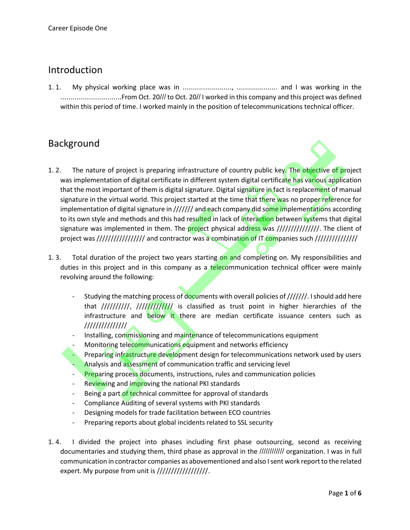### Introduction

1. 1. My physical working place was in ........................, .................... and I was working in the ..............................From Oct. 20/// to Oct. 20// I worked in this company and this project was defined within this period of time. I worked mainly in the position of telecommunications technical officer.

## Background

- 
- 1. 2. The nature of project is preparing infrastructure of country public key. The objective of project was implementation of digital certificate in different system digital certificate has various application that the most important of them is digital signature. Digital signature in fact is replacement of manual signature in the virtual world. This project started at the time that there was no proper reference for implementation of digital signature in /////// and each company did some implementations according to its own style and methods and this had resulted in lack of interaction between systems that digital signature was implemented in them. The project physical address was ////////////////. The client of project was ///////////////////////// and contractor was a combination of IT companies such //////////////////
- 1. 3. Total duration of the project two years starting on and completing on. My responsibilities and duties in this project and in this company as a telecommunication technical officer were mainly revolving around the following:
	- Studying the matching process of documents with overall policies of ///////. I should add here that //////////, ////////////// is classified as trust point in higher hierarchies of the infrastructure and below it there are median certificate issuance centers such as ///////////////
	- Installing, commissioning and maintenance of telecommunications equipment
	- Monitoring telecommunications equipment and networks efficiency
	- Preparing infrastructure development design for telecommunications network used by users Analysis and assessment of communication traffic and servicing level
	- **Preparing process documents, instructions, rules and communication policies**
	- Reviewing and improving the national PKI standards
	- Being a part of technical committee for approval of standards
	- Compliance Auditing of several systems with PKI standards
	- Designing models for trade facilitation between ECO countries
	- Preparing reports about global incidents related to SSL security
- 1. 4. I divided the project into phases including first phase outsourcing, second as receiving documentaries and studying them, third phase as approval in the //////////// organization. I was in full communication in contractor companies as abovementioned and also I sent work report to the related expert. My purpose from unit is ///////////////////////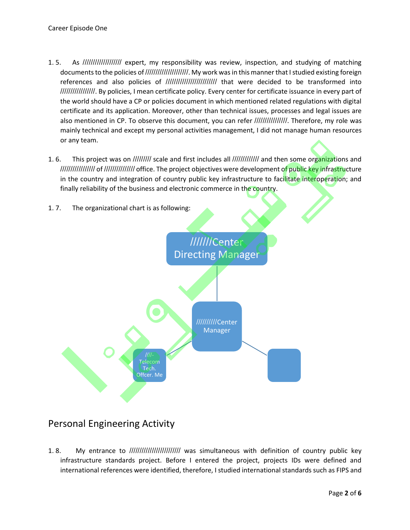- 1. 5. As /////////////////// expert, my responsibility was review, inspection, and studying of matching documents to the policies of /////////////////////. My work was in this manner that I studied existing foreign references and also policies of ///////////////////////// that were decided to be transformed into /////////////////. By policies, I mean certificate policy. Every center for certificate issuance in every part of the world should have a CP or policies document in which mentioned related regulations with digital certificate and its application. Moreover, other than technical issues, processes and legal issues are also mentioned in CP. To observe this document, you can refer //////////////////. Therefore, my role was mainly technical and except my personal activities management, I did not manage human resources or any team.
- 1. 6. This project was on ///////// scale and first includes all ////////////// and then some organizations and ///////////////// of /////////////// office. The project objectives were development of public key infrastructure in the country and integration of country public key infrastructure to facilitate interoperation; and finally reliability of the business and electronic commerce in the country.



# Personal Engineering Activity

1. 8. My entrance to ///////////////////////// was simultaneous with definition of country public key infrastructure standards project. Before I entered the project, projects IDs were defined and international references were identified, therefore, I studied international standards such as FIPS and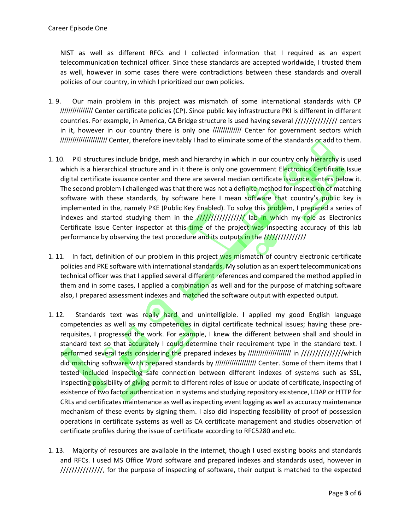NIST as well as different RFCs and I collected information that I required as an expert telecommunication technical officer. Since these standards are accepted worldwide, I trusted them as well, however in some cases there were contradictions between these standards and overall policies of our country, in which I prioritized our own policies.

- 1. 9. Our main problem in this project was mismatch of some international standards with CP //////////////// Center certificate policies (CP). Since public key infrastructure PKI is different in different countries. For example, in America, CA Bridge structure is used having several /////////////// centers in it, however in our country there is only one /////////////// Center for government sectors which ///////////////////////////////// Center, therefore inevitably I had to eliminate some of the standards or add to them.
- 1. 10. PKI structures include bridge, mesh and hierarchy in which in our country only hierarchy is used which is a hierarchical structure and in it there is only one government Electronics Certificate Issue digital certificate issuance center and there are several median certificate issuance centers below it. The second problem I challenged was that there was not a definite method for inspection of matching software with these standards, by software here I mean software that country's public key is implemented in the, namely PKE (Public Key Enabled). To solve this problem, I prepared a series of indexes and started studying them in the  $\frac{f}{f}$ //////////////////////// lab in which my role as Electronics Certificate Issue Center inspector at this time of the project was inspecting accuracy of this lab performance by observing the test procedure and its outputs in the ///////////////
- 1. 11. In fact, definition of our problem in this project was mismatch of country electronic certificate policies and PKE software with international standards. My solution as an expert telecommunications technical officer was that I applied several different references and compared the method applied in them and in some cases, I applied a combination as well and for the purpose of matching software also, I prepared assessment indexes and matched the software output with expected output.
- 1. 12. Standards text was really hard and unintelligible. I applied my good English language competencies as well as my competencies in digital certificate technical issues; having these prerequisites, I progressed the work. For example, I knew the different between shall and should in standard text so that accurately I could determine their requirement type in the standard text. I performed several tests considering the prepared indexes by ///////////////////// in ///////////////which did matching software with prepared standards by ///////////////////// Center. Some of them items that I tested included inspecting safe connection between different indexes of systems such as SSL, inspecting possibility of giving permit to different roles of issue or update of certificate, inspecting of existence of two factor authentication in systems and studying repository existence, LDAP or HTTP for CRLs and certificates maintenance as well as inspecting event logging as well as accuracy maintenance mechanism of these events by signing them. I also did inspecting feasibility of proof of possession operations in certificate systems as well as CA certificate management and studies observation of certificate profiles during the issue of certificate according to RFC5280 and etc.
- 1. 13. Majority of resources are available in the internet, though I used existing books and standards and RFCs. I used MS Office Word software and prepared indexes and standards used, however in ///////////////, for the purpose of inspecting of software, their output is matched to the expected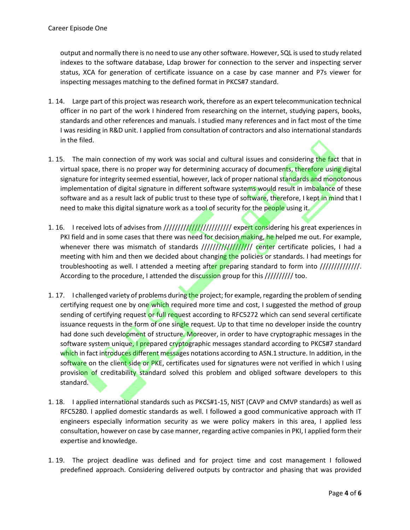output and normally there is no need to use any other software. However, SQL is used to study related indexes to the software database, Ldap brower for connection to the server and inspecting server status, XCA for generation of certificate issuance on a case by case manner and P7s viewer for inspecting messages matching to the defined format in PKCS#7 standard.

- 1. 14. Large part of this project was research work, therefore as an expert telecommunication technical officer in no part of the work I hindered from researching on the internet, studying papers, books, standards and other references and manuals. I studied many references and in fact most of the time I was residing in R&D unit. I applied from consultation of contractors and also international standards in the filed.
- 1. 15. The main connection of my work was social and cultural issues and considering the fact that in virtual space, there is no proper way for determining accuracy of documents, therefore using digital signature for integrity seemed essential, however, lack of proper national standards and monotonous implementation of digital signature in different software systems would result in imbalance of these software and as a result lack of public trust to these type of software, therefore, I kept in mind that I need to make this digital signature work as a tool of security for the people using it.
- 1. 16. I received lots of advises from ////////////////////////////// expert considering his great experiences in PKI field and in some cases that there was need for decision making, he helped me out. For example, whenever there was mismatch of standards ///////////////////// center certificate policies, I had a meeting with him and then we decided about changing the policies or standards. I had meetings for troubleshooting as well. I attended a meeting after preparing standard to form into //////////////. According to the procedure, I attended the discussion group for this ////////// too.
- 1. 17. I challenged variety of problems during the project; for example, regarding the problem of sending certifying request one by one which required more time and cost, I suggested the method of group sending of certifying request or full request according to RFC5272 which can send several certificate issuance requests in the form of one single request. Up to that time no developer inside the country had done such development of structure. Moreover, in order to have cryptographic messages in the software system unique, I prepared cryptographic messages standard according to PKCS#7 standard which in fact introduces different messages notations according to ASN.1 structure. In addition, in the software on the client side or PKE, certificates used for signatures were not verified in which I using provision of creditability standard solved this problem and obliged software developers to this standard.
- 1. 18. I applied international standards such as PKCS#1-15, NIST (CAVP and CMVP standards) as well as RFC5280. I applied domestic standards as well. I followed a good communicative approach with IT engineers especially information security as we were policy makers in this area, I applied less consultation, however on case by case manner, regarding active companies in PKI, I applied form their expertise and knowledge.
- 1. 19. The project deadline was defined and for project time and cost management I followed predefined approach. Considering delivered outputs by contractor and phasing that was provided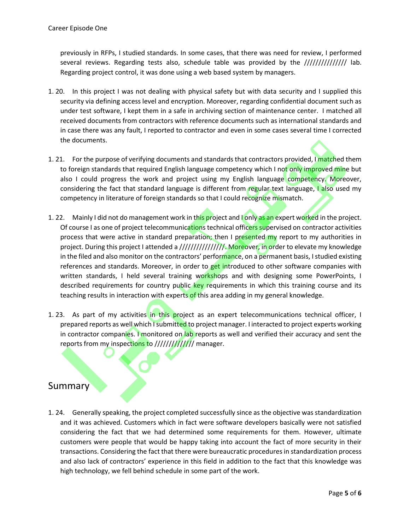previously in RFPs, I studied standards. In some cases, that there was need for review, I performed several reviews. Regarding tests also, schedule table was provided by the /////////////// lab. Regarding project control, it was done using a web based system by managers.

- 1. 20. In this project I was not dealing with physical safety but with data security and I supplied this security via defining access level and encryption. Moreover, regarding confidential document such as under test software, I kept them in a safe in archiving section of maintenance center. I matched all received documents from contractors with reference documents such as international standards and in case there was any fault, I reported to contractor and even in some cases several time I corrected the documents.
- 1. 21. For the purpose of verifying documents and standards that contractors provided, I matched them to foreign standards that required English language competency which I not only improved mine but also I could progress the work and project using my English language competency. Moreover, considering the fact that standard language is different from regular text language, I also used my competency in literature of foreign standards so that I could recognize mismatch.
- 1. 22. Mainly I did not do management work in this project and I only as an expert worked in the project. Of course I as one of project telecommunications technical officers supervised on contractor activities process that were active in standard preparation; then I presented my report to my authorities in project. During this project I attended a /////////////////. Moreover, in order to elevate my knowledge in the filed and also monitor on the contractors' performance, on a permanent basis, I studied existing references and standards. Moreover, in order to get introduced to other software companies with written standards, I held several training workshops and with designing some PowerPoints, I described requirements for country public key requirements in which this training course and its teaching results in interaction with experts of this area adding in my general knowledge.
- 1. 23. As part of my activities in this project as an expert telecommunications technical officer, I prepared reports as well which I submitted to project manager. I interacted to project experts working in contractor companies. I monitored on lab reports as well and verified their accuracy and sent the reports from my inspections to ////////////// manager.

# Summary

1. 24. Generally speaking, the project completed successfully since as the objective was standardization and it was achieved. Customers which in fact were software developers basically were not satisfied considering the fact that we had determined some requirements for them. However, ultimate customers were people that would be happy taking into account the fact of more security in their transactions. Considering the fact that there were bureaucratic procedures in standardization process and also lack of contractors' experience in this field in addition to the fact that this knowledge was high technology, we fell behind schedule in some part of the work.